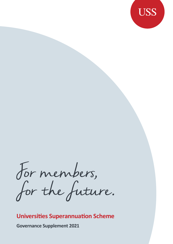

For members,<br>for the future.

## **Universities Superannuation Scheme**

**Governance Supplement 2021**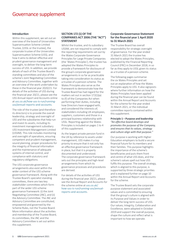### Governance supplement

#### **Introduction**

Within this supplement, we set out an overview of the board of Universities Superannuation Scheme Limited Trustee, (USSL or the trustee), the corporate trustee of the Universities Superannuation Scheme (USS), and how it aims to deliver effective and prudent governance management and oversight, to deliver the long-term success of USS. In addition, we provide details of each of the Trustee Board's standing committees and also of the scheme's Joint Negotiating Committee and Advisory Committee, together with an overview of the work undertaken by these in the financial year 2020/21. For details of the activities of USS during the financial year 20/21, please see the USS Annual report and Accounts online at [uss.co.uk/how-uss-is-run/running](http://www.uss.co.uk/how-uss-is-run/running-uss/annual-reports-and-accounts)[uss/annual-reports-and-accounts](http://www.uss.co.uk/how-uss-is-run/running-uss/annual-reports-and-accounts).

The role of the trustee (and therefore its directors) is to provide the overall leadership, strategy and oversight of USS and the subsidiaries that help run and invest its assets, including its investment management subsidiary USS Investment Management Limited (USSIM). This role includes monitoring and oversight of operations, ensuring competent and prudent management, sound planning, proper procedures for the integrity of financial information and the maintenance of adequate systems of internal control, and compliance with statutory and regulatory obligations.

The USS corporate governance arrangements also exist within the wider context of the USS scheme governance framework. Along with the Trustee Board's specialist standing committees, there are two key stakeholder committees which form part of the wider USS scheme governance framework: (i) the Joint Negotiating Committee (JNC), and (ii) the Advisory Committee. The JNC and Advisory Committee are constituted, empowered and governed by the Scheme Rules, not the Trustee Board. More information about the activities and membership of the Trustee Board, its committees, the JNC and the Advisory Committee is set out within this supplement.

#### **SECTION 172 (1) OF THE COMPANIES ACT 2006 (THE "ACT") STATEMENT**

Whilst the trustee, and its subsidiary USSIM, are not required to comply with the reporting requirements set out by the Wates Corporate Governance Principles for Large Private Companies (the 'Wates Principles'), the trustee has adopted the Wates Principles to provide a framework for disclosure of the group's corporate governance arrangements in so far as practicable taking into consideration its status as a trustee of a pension scheme. The Wates Principles also serve as the framework to demonstrate how the Trustee Board has had regard for the matters set out in section 172(1)(a) to (f) of the Companies Act when performing their duties, including how Directors have engaged with, and considered the interests of, stakeholders including UK employees, suppliers, customers and those in a principal business relationship with USSL. Reporting against the Wates Principles is included on pages 1 to 4 of this supplement.

As the largest private pension fund in the UK by reference to assets under management, USS makes it a top priority to ensure that it not only has an effective governance framework in place, but that it is properly documented and understood. The corporate governance framework sets out the principles and high-level arrangements from which its governance processes and procedures are derived.

For details of the activities of USS during the financial year 20/21, please see the Annual Report and Accounts for the scheme online at [uss.co.uk/](http://www.uss.co.uk/how-uss-is-run/running-uss/annual-reports-and-accounts) [how-uss-is-run/running-uss/annual](http://www.uss.co.uk/how-uss-is-run/running-uss/annual-reports-and-accounts)[reports-and-accounts](http://www.uss.co.uk/how-uss-is-run/running-uss/annual-reports-and-accounts).

#### **Corporate Governance Statement for the financial year 1 April 2020 to 31 March 2021**

The Trustee Board has overall responsibility for strategic oversight of governance. For the year ended 31 March 2021 the trustee has elected to adopt the Wates Principles, published by the Financial Reporting Council (FRC) in December 2018, in so far as they apply to USSL given its status as a trustee of a pension scheme.

The following pages summarise the six Wates Principles and set out an explanation of how the Wates Principles apply to USS. It also signposts where further information on how the Wates Principles have been applied during the financial year can be found within the Annual Report and Accounts for the scheme for the year ended 31 March 2021, or the individual committee reports contained within this supplement.

#### **Principle 1 – Purpose and leadership** *"An effective board develops and promotes the purpose of the Company,*

*and ensures that its values, strategy and culture align with that purpose."*

Our purpose is working with Higher Education employers to build a secure financial future for its members and their families. This purpose highlights the importance of the scheme's beneficiaries and puts them front and centre of what USS does, and the scheme's values spell out how USS fulfils this purpose. The overall strategy, which is aligned to this purpose, is supported by three strategic priorities and is explained further on page 10 within the Annual Report and Accounts for the scheme.

The Trustee Board sets the corporate purpose statement and associated values and is committed to ensuring that the group's culture is aligned with its Purpose and Values in order to deliver the long-term success of USS. Our values; Integrity, Collaboration and Excellence, were adopted in October 2019 and support the overall purpose, shape the culture and reflect what is important to how we operate.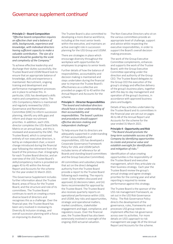#### **Principle 2 – Board Composition**

*"Effective board composition requires an effective chair and a balance of skills, backgrounds, experience and knowledge, with individual directors having sufficient capacity to make a valuable contribution. The size of a board should be guided by the scale and complexity of the Company."*

To achieve effective leadership and discharge their duties successfully, the Trustee Board and USSIM Board look to ensure that an appropriate balance of knowledge, skills and experience is maintained. Recruitment, ongoing training and development and performance management processes are in place to achieve this. In particular, USSL has developed a skills matrix and competency matrix. The USS-Competency Matrix is maintained and regularly reviewed by USSL's Governance and Nomination Committee (GNC) to inform succession planning, identify any skills gaps and inform and shape recruitment priorities. In addition, each USSL director completes the USS-Board Skills Matrix on an annual basis, and this is reviewed and assessed by the GNC. The Trustee Board, which is comprised entirely of non-executive directors, is led by an independent chair, a recent change introduced during the financial year following the retirement from the board of the previous chair. A biography for each Trustee Board director, and an overview of the USS Trustee Board's skills/competency matrix is provided on pages 43 to 45 within the Annual Report and Accounts for the scheme for the year ended 31 March 2021.

This Governance Supplement includes further information about the Trustee Board, areas of focus for the Trustee Board, and the structure and role of its committees. The Trustee Board continues to work on creating a more diverse board of directors and recognises this as a challenge. Over the financial year, the Trustee Board has been very involved in reviewing its Diversity & Inclusion strategy, and overall succession planning with a focus on improving its diversity.

The Trustee Board is also committed to developing a more diverse workforce, including at the most senior levels within the executive, and maintains an active oversight role in succession planning for the USS Group and USSIM.

There are strategies in place which encourage diversity throughout the workplace with opportunities for employees to progress to senior levels

Further details of how the balance of responsibilities, accountability and decision making is maintained and steps undertaken during the financial year to improve the Trustee Board's effectiveness as a collective are provided on pages 42 to 43 within the Annual Report and Accounts for the scheme.

#### **Principle 3 – Director Responsibilities**

*"The board and individual directors should have a clear understanding of their accountability and responsibilities. The board´s policies and procedures should support effective decision-making and independent challenge."*

To help ensure that its directors are adequately supported in understanding of their accountability and responsibilities, USS has developed a Corporate Governance Framework Policy for USSL and USSIM (which includes terms of reference for all Boards and standing board committees and the Group Executive Committee).

All committees and subsidiary boards that act on the direct delegated authority from the Trustee Board provide a report to the Trustee Board following each meeting. The reports cover: (i) key matters discussed and approved; (ii) decisions taken, and (iii) items recommended for approval by the Trustee Board. The Trustee Board also receives quarterly reports on operational performance within USSL and USSIM, key risks and opportunities, strategic and operational matters, market conditions, stakeholder engagement and legal, compliance, and regulatory issues. Over the financial year, the Trustee Board has also been extensively involved in oversight of the ongoing 2020 actuarial valuation.

The Non-Executive Directors who sit on the various committees provide an appropriate level of challenge, support and advice whilst respecting the executive responsibilities, in order to support the Board's overall decisionmaking processes.

The work of the Group Executive Committee complements, enhances and supports the work of the Trustee Board, with the Group Executive Committee operating under the direction and authority of the Group CEO. The Trustee Board delegates to the Group CEO the execution of the group's strategy and effective delivery of the group's business plans, together with the day-to-day management and operation of the group's business, in accordance with approved business plans and budgets.

Details of key activities undertaken by the Trustee Board and its committees in the financial year are set out on pages 46 to 48 of the Annual Report and Accounts for the scheme for the year ended 31 March 2021.

#### **Principle 4 - Opportunity and Risk**

 *"The Board should promote the long-term sustainable success of the Company by identifying opportunities to create and preserve value and establish oversight for identification and mitigation of risks."*

Identification of value creating opportunities is the responsibility of the Trustee Board and executive management, which they articulate via their business strategy. Each year the Trustee Board review the group's annual strategy and agree strategic priorities for the coming year and what reporting is required to review performance against this strategy.

The Trustee Board is the sponsor of the USS risk management framework, as set out in the USS Risk Governance Policy. The Risk Governance Policy directs the development of the governance, rules, frameworks and processes USS group needs to implement effective risk governance across over its activities. For more details on USS's approach to risk management see page 36 of the Annual Report and Accounts for the scheme.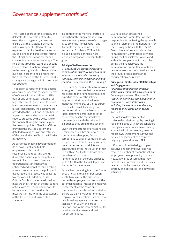The Trustee Board set the strategy and delegates the execution of this to executive management, who must ensure that the strategy is achieved within risk appetite. All directors are expected to familiarise themselves with key challenges and areas of risk facing the UK higher education sector and changes in the pensions landscape. The role of the group risk team, as a second line of defence function, is to provide review, oversight and challenge of the business in order to help ensure that the risks created by the Trustee Board's strategy are managed within the stated risk appetite.

 In addition to reporting to the boards as required under the respective terms of reference for the USSL and USSIM boards and committees, details of all high rated events (in relation to errors, breaches, near‐misses, and operational losses) identified by the executive are provided to the USSL and USSIM Boards as part of the standard quarterly risk reports prepared by the executive to the boards. During the financial year, the newly appointed Chief Risk Officer, provided the Trustee Board with a detailed training session and refresher of the overall risk profile of the USS risk framework.

As part of its ongoing development of its risk oversight, and to help employees understanding in recognising and reporting events, during the financial year the policy in respect of errors, near misses and operational loss incidents was enhanced and simplified, and a rolling training programme on the policy and event reporting process was delivered to employees. In addition, a Risk Culture Dashboard was developed to measure the strength of the risk culture of USS, with corresponding actions to be developed to ensure that this measure is in line with the expectations of the Trustee Board's risk culture statement.

In addition to the matters referred to throughout this supplement on risk management, please also refer to pages 37 to 39 of the Annual Report and Accounts for the scheme for the year ended 31 March 2021 which include a list of all principal risks including mitigations relevant to the group.

#### **Principle 5 – Remuneration**

*"A Board should promote executive remuneration structures aligned to the long-term sustainable success of a company, taking into account pay and conditions elsewhere in the Company."*

The scheme's remuneration framework is designed to ensure that the scheme has access to the right mix of skills and expertise to deliver the scheme's long-term priorities and value for money for members. USS hires expert people who can deliver long-term results and aims to pay them at market rates, assuming performance in the period reaches the required level, commensurate with the skills and experience they bring to the scheme.

Given the importance of attracting and retaining high-calibre employees in a competitive talent pool, fair and competitive salaries in comparison with our peers are offered. Salaries reflect the experience, responsibility and contribution of the individual and their role within USS. Further details about the scheme's approach to remuneration can be found on pages 50 to 53 within the Annual Report and Accounts for the scheme.

Annual benchmarking is also performed on salaries and total compensation levels; to minimise the disruption caused by employee turnover and the potential negative impact on employee engagement. At the same time, compensation benchmarking is vital to ensure we deliver value for money to employers and members. Two external benchmarking agencies are used: Aon McLagan for USSIM and group functions and Willis Towers Watson for pensions services roles and their support functions.

USS has also an established Remuneration Committee, which is responsible for reviewing the approach to and all elements of remuneration for USS, in conjunction with the USSIM Board. More information about the Remuneration Committee's activities during the financial year is contained within this supplement. In particular, during the financial year, the Remuneration Committee adopted a new remuneration policy to document the group's overall approach to remuneration and reward.

#### **Principle 6 – Stakeholder Relationships and Engagement**

*"Directors should foster effective stakeholder relationships aligned to the Company´s purpose. The board is responsible for overseeing meaningful engagement with stakeholders, including the workforce, and having regard to their views when taking decisions."*

USS looks to develop effective stakeholder relationships by keeping in regular dialogue with key stakeholders through a number of means including, annual Institutions meeting, member roadshows, Engagement surveys and detailed engagement as a result of ongoing supervision from TPR.

USS is committed to being an open, inclusive and fair employer and has created a number of channels that give employees the opportunity to share views, as well as ensuring that they have all the information and resources needed on its Purpose and Values, strategy and objectives, and day to day activities.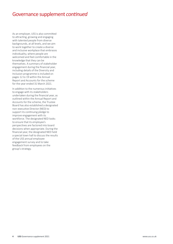As an employer, USS is also committed to attracting, growing and engaging with talented people from diverse backgrounds, at all levels, and we aim to work together to create a diverse and inclusive workplace that embraces individuality, where people are welcomed and feel comfortable in the knowledge that they can be themselves. A summary of stakeholder engagement during the financial year, including details of the Diversity and Inclusion programme is included on pages 12 to 19 within the Annual Report and Accounts for the scheme for the year ended 31 March 2021.

In addition to the numerous initiatives to engage with its stakeholders undertaken during the financial year, as outlined within the Annual Report and Accounts for the scheme, the Trustee Board has also established a designated non-executive Director (NED) to support its continuing pledge to improve engagement with its workforce. The designated NED looks to ensure that its employee's perspectives are factored into board decisions when appropriate. During the financial year, the designated NED held a special town hall to discuss the results of the USS annual employee engagement survey and to take feedback from employees on the group's strategy.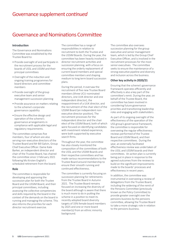# Governance and Nominations Committee

#### **Introduction**

The Governance and Nominations Committee was established by the Trustee Board to:

- Provide oversight of and participate in the recruitment process for the boards of USSL and USSIM and their principal committees
- Oversight of the induction and ongoing training programmes for board directors and committee members
- Provide oversight of the group executive team and senior management succession planning
- Provide assurance on matters relating to the scheme's corporate governance capability
- Ensure the effective design and operation of the scheme's governance arrangements in compliance with applicable legal and regulatory requirements.

The committee comprises five members, four of whom are also serving non-executive directors of the Trustee Board and Mr Bill Galvin, Group Chief Executive Officer. Dame Kate Barker, an independent director and chair of the Trustee Board, has chaired the committee since 1 February 2021 following Ms Kirsten English's scheduled retirement from the board.

#### **Role**

The committee is responsible for developing and approving the succession plan for both the Trustee Board and the USSIM Board, and their principal committees, including assessing the collective competencies and skills required by the board in the context of the demands on the board in running and managing the scheme. This also informs the priorities for each director recruitment exercise.

The committee has a range of responsibilities in relation to recruitment to both the Trustee and the USSIM Boards. During the year, the committee has been heavily involved in director recruitment activities and succession planning, with a focus on ensuring the orderly replacement of current board members and special committee members and shaping medium to long term board succession plans.

During the period, it oversaw the recruitment of five new Trustee Board members (three UCU-nominated directors, one UUK director and one independent director), the reappointment of a UUK director, and the recruitment of the chair elect of the USSIM Board (an independent nonexecutive director position). The recruitment processes for the independent director and the chair elect of the USSIM Board, both of which were focused on identifying candidates with investment related experience, were both supported by executive search firms.

Throughout the year, the committee has also closely monitored the composition of the committees of both the USSL and the USSIM Boards and their respective committees and has made various recommendations to the Trustee Board around membership to ensure their smooth running and continued effectiveness.

The committee is currently focusing on succession planning for retirements from the Trustee Board in Autumn 2021 The Trustee Board remains focused on increasing the diversity of the board although is aware that there is much more to do in putting the scheme in a position to meet its recently adopted board diversity targets of 33% female board members by 2025 and one or more board member(s) from an ethnic minority background.

The committee also oversees succession planning for the group executive and senior management team, which is led by the Group Chief Executive Officer, and is involved in the recruitment processes for the most senior executives. The committee seeks to ensure the maintenance of a strong executive pipeline and diversity and inclusion across the business.

#### **Other key activity in 2020/21**

Ensuring that the scheme's governance framework operates efficiently and effectively is also a key part of the committee's remit. During the year, on behalf of the Trustee Board, the committee has been involved in considering future governance priorities and transitioning leadership roles and engaging with stakeholders.

As part of its ongoing oversight of the effectiveness of the operation of the USS group's governance framework, the committee is responsible for overseeing the regular effectiveness reviews performed of the Trustee Board and USSIM Board, and their respective committees. During the year, an externally facilitated effectiveness review was undertaken of the USSL and USSIM boards and their committees. An action plan is currently being put in place in response to the agreed outcomes from the reviews to build on the significant improvements made to the boards' processes and effectiveness in recent years.

In addition, the committee was instrumental in overseeing a review of delegations from the Trustee Board, including the widening of the remit of the Pensions Committee (previously known as the Policy Committee) to provide greater oversight over the pensions business by the pensions committee, allowing the Trustee Board to take a more strategic role in relation to the pensions business.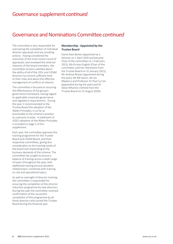### Governance and Nominations Committee *continued*

The committee is also responsible for overseeing the completion of individual director appraisals and any resulting actions. Having considered the outcomes of the most recent round of appraisals, and reviewed the external interests of the board members, the committee remains satisfied about the ability of all of the USSL and USSIM directors to commit sufficient time to their roles and about the effective management of conflicts of interest.

The committee is focused on ensuring the effectiveness of the group's governance framework, having regard to applicable corporate governance and regulatory requirements. During the year, it recommended to the Trustee Board the adoption of the Wates Principles, in so far as practicable to the scheme's position as a pension trustee. A statement of USSL's adoption of the Wates Principles is included on page 1 of this supplement.

Each year, the committee approves the training programme for the Trustee Board and USSIM Board, and their respective committees, giving due consideration to the training needs of the board and responding to the business demands of the scheme. The committee has sought to ensure a balance of training across a wide range of topics throughout the year, with additional training around valuation related topics combined with training on risk and operational topics.

As well as oversight of director training, the committee is responsible for ensuring the completion of the director induction programme by new directors. During the year the committee received confirmation of the successful completion of the programme by all those directors who joined the Trustee Board during the financial year.

#### **Membership - Appointed by the Trustee Board**

Dame Kate Barker (appointed as a director on 1 April 2020 and became Chair of the committee on 1 February 2021), Ms Kirsten English (Chair of the committee until her retirement from the Trustee Board on 31 January 2021), Mr Andrew Brown (appointed during the year), Mr Bill Galvin, Mr Ian Maybury and Professor Sir Paul Curran (appointed during the year) and Dr Steve Wharton (retired from the Trustee Board on 31 August 2020).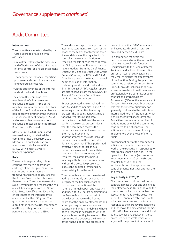# Audit Committee

### **Introduction**

The committee was established by the Trustee Board to provide it with assurance:

- On matters relating to the adequacy and effectiveness of the USS group's internal control and risk management framework
- That appropriate financial reporting processes and controls are in place and operating effectively
- On the effectiveness of the internal and external audit functions.

The committee comprises five members all of whom are nonexecutive directors. Three of the members are non-executive directors of the Trustee Board; one member is a non-executive director of the trustee's in-house investment manager USSIM; and one member serves as a nonexecutive director on both the Trustee Board and USSIM Board.

Mr Gary Dixon, a UUK-nominated trustee director, has chaired the committee since 1 February 2021. Mr Dixon is a qualified Chartered Accountant and a Fellow of the ICAEW with almost 35 years' financial experience.

#### **Role**

The committee plays a key role in ensuring that there is appropriate challenge of the USS group's internal control and risk management framework and provides assurance to the Trustee Board on the robustness of these systems. The committee receives a quarterly update and report at the end of each financial year from the Group Chief Executive Officer (GCEO) on the effectiveness of the internal control environment at the USS group. The quarterly statement is based on the output of the executive risk committees and the operating committees of the pensions business and of USSIM.

The end of year report is supported by assurance statements from each of the heads of the teams that form the three lines of defence of the organisation's control framework. In addition to receiving reports at each meeting from the GCEO, the committee also receives regular updates from the Chief Finance Officer, the Chief Risk Officer, the Group General Counsel, the USSL and USSIM Compliance heads, the Head of Internal Audit, the Head of Information Technology and, the external auditor, Ernst & Young LLP (EY). Regular reports are also received from the USSIM Audit, Risk and Compliance Committee and the Fair Value Committee.

EY was appointed as external auditor for USS and its companies in late 2017, following a competitive tendering process. The appointment was made for a five-year term subject to satisfactory completion of the annual performance review process. Each year the committee reviews the performance and effectiveness of the external auditor and the appropriateness of the external audit partner. The committee concluded during the year that EY had performed effectively since the last annual performance review. In line with best practice, at least once a year, and as required, the committee holds a meeting with the external auditor and without the executive present to discuss the auditor's remit and any issues arising from the audit.

The committee approves the external audit plan annually and oversees the integrity of the financial reporting process and production of the scheme's Annual Report and Accounts and those of USSL before submission to the Trustee Board for approval. It provides assurance to the Trustee Board that the financial statements and accompanying information are fair, balanced and understandable and have been prepared in accordance with the applicable accounting framework. The committee also oversees the integrity of the financial reporting process and

production of the USSIM annual report and accounts, through assurance provided by the USSIM Board.

The committee monitors the performance and effectiveness of the scheme's internal audit function. Discussions with the Head of Internal Audit are held without the executive present at least once a year, and as required, to discuss the effectiveness of the function. During the year, the committee considered a report from Protiviti, an external consulting firm whose internal audit quality assurance professionals were commissioned to conduct an External Quality Assessment (EQA) of the internal audit function. Protiviti's overall conclusion was that the internal audit function generally conforms to the Institute of Internal Auditors (IIA) Standards, which is the highest level of conformance. Protiviti recommended a number of actions, none of which the committee considered to be of concern. The actions are in the process of being implemented by the Head of Internal Audit.

An important part of the committee's activity each year is to oversee the work of the executive in responding to errors and events which occur in the operation of a scheme (and in-house investment manager) of the size and complexity of USS, and the implementation of any process and control enhancements (as appropriate) as a result.

#### **Key activity in 2020/21**

The committee monitors the internal controls in place at USS and challenges their effectiveness. During the year, the committee has kept under review the assessments made by the executive about the continued robustness of the scheme's processes and controls in response to the coronavirus pandemic and the move to homeworking for most USS staff. It has overseen the additional audit activities undertaken on those processes and controls which were adjusted in response to the pandemic.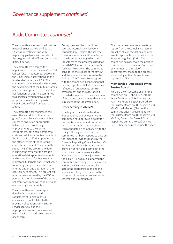### Audit Committee *continued*

The committee was reassured that no material issues were identified, that USS was operating in line with regulatory guidance and was alert to the heightened risk of fraud during this difficult period.

The committee welcomed the appointment of a permanent Chief Risk Officer (CRO) in September 2020 and the CRO's initial observations on the level of risk maturity at USS. The committee has reviewed and endorsed the development of the CRO's strategic plan for the approach to risk, and the risk function, at USS. The committee was particularly supportive of the proposed move towards greater simplification of risk frameworks at USS.

The committee has monitored the executive's work to optimise the group's control environment. It has sought to ensure an appropriate balance, when considering improvements to the control environment, between incremental costs and additional control complexity, the Trustee Board's risk appetite and the effectiveness of the resulting control environment. The committee is supportive of the progress to date, including the review of the group's operational risk appetite statements and embedding of further Key Risk Indicators (KRIs) help ensure that value for money is appropriately factored into the design and operation of the control environment. This project will now be taken forward by the CRO as part of his overall review of the group's risk framework and will continue to be overseen by the committee.

The committee has been kept up to date by the executive on the robustness of Capita's control environment, as it relates to the provision of pension administration services to USS, and the appropriateness and timeliness with which Capita has addressed any areas of concern.

During the year, the committee oversaw internal audit-led work conducted by Deloitte, the scheme's co-source internal audit provider, to provide assurance regarding the robustness of the processes used for the 2020 Valuation of the scheme's Technical Provisions. The committee considered the results of the review and the executive's response to the findings. The Trustee Board agreed with the committee's conclusion that the findings of the Deloitte review were reflective of an adequate control environment and the assurance it provided in relation to the robustness of the control environment that applied in respect of the 2020 Valuation.

#### **Other activity in 2020/21**

To safeguard the external auditor's independence and objectivity, the committee has approved a policy for the provision of non-audit services by the external auditor and receives a regular update on compliance with the policy. Throughout the year, the committee has been kept up to date on the impact of revisions made by the Financial Reporting Council to the UK's Auditing and Ethical Standard on the provision of non-audit services to the scheme and its companies and has approved appropriate adjustments to the policy. EY has also supported the committee in keeping up to date on the various reviews being undertaken across the audit profession and the implications they could have on the provision of non-audit services to the scheme and its companies.

The committee receives a quarterly report from the Compliance team on breaches of law, regulation and other events reportable or notifiable to the Pensions Regulator (TPR). The committee has observed the positive contribution to the scheme's control environment as a result of improvements made to the process for ensuring notifiable events are reported to TPR.

#### **Membership - Appointed by the Trustee Board**

Mr Gary Dixon (became Chair of the committee on 1 February 2021), Dr Kevin Carter (appointed during the year), Ms Kirsten English (retired from the Trustee Board on 31 January 2021), Mr Michael Merton (Chair of the committee until his retirement from the Trustee Board on 31 January 2021), Mr Tony Owens, Mr Russell Picot (appointed during the year) and Ms Helen Shay (appointed during the year).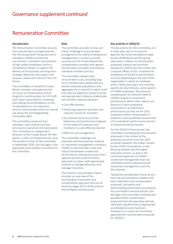### Remuneration Committee

#### **Introduction**

The Remuneration Committee ensures that remuneration arrangements for the USS Group (both the group and its subsidiary USSIM) promote the recruitment, motivation and retention of high calibre employees, within a competitive market, to support the delivery of the business and long-term strategic objectives and support the purpose, values and culture of the USS Group.

The committee, on behalf of Trustee Board, considers and approves the structure of compensation and all long-term incentive plans for USS staff; and is also responsible for reviewing and making recommendations to the Trustee Board on non-executive director remuneration within an overall cap set by the Joint Negotiating Committee (JNC).

The committee comprises four members, each of whom are also serving non-executive UUK-nominated, UCU-nominated or independent directors of the Trustee Board. Mr Will Spinks, a UUK-nominated director, took the position of chair of the committee in September 2020. Aon McLagan is the appointed remuneration consultant for the committee.

#### **Role**

The committee provides review and robust challenge to remuneration arrangements for staff (including senior management), in order to provide assurance to the Trustee Board that compensation complies with agreed remuneration principles and industry standards and best practice.

The committee reviews total remuneration costs, including longterm incentive plans (applicable to a limited employee population), and aggregate bonus awards to satisfy itself that they are aligned to industry trends and appropriate to balance stakeholder and member interests between:

- Cost effectiveness
- Delivering long-term priorities and value for money for members
- An incentive structure to drive behaviours and performance aligned to the needs of employers and members in a cost-effective manner
- Effective risk management

The committee challenges the executive and the proposals made by its investment management subsidiary, USSIM, to demonstrate a clear and robust link between reward and performance, seeking assurance that a rigorous process of performance appraisal is in place, with appropriate controls to manage behaviour and manager discretion.

The scheme's remuneration report provides an overview of the remuneration framework and compensation approach and can be found on pages 50-53 of the scheme Annual Report and Accounts.

#### **Key activity in 2020/21**

The key activity for the committee, as it is every year, was to review and approve the recommendations made by the USSIM Board and the group executive in relation to remuneration proposals (salaries and incentive awards) for staff across the London and Liverpool offices of USS. Incentives for employees are based on performance and vary depending on the part of the organisation in which an employee works. Whilst any salary and incentive awards are discretionary, some aspects of USSIM employees' discretionary compensation are directly linked to USSIM's long term investment performance, whilst other aspects are based on a more qualitative assessment of an individual's performance (as they are for USSL employees where compensation is linked to a more qualitative assessment of an individual's performance and not to investment performance).

For the 2020/21 financial year, the committee considered all remuneration proposals in the context of the potential outcomes from the 2020 actuarial valuation, the impact caused by the COVID-19 pandemic on the financial markets and the higher education sectors, as well as the continued expansion of USSIM's investment management team (to ultimately achieve reduced overall investment management costs for the scheme).

Taking into consideration these factors, how risk and compliance matters had been reflected in the compensation proposals, and advice and benchmarking information provided by the committee's external adviser, Aon McLagan, the committee reviewed and questioned the compensation proposals from the executive and was ultimately satisfied that an appropriate and detailed process had been followed. As a result, the committee approved the remuneration proposals for 2020/21.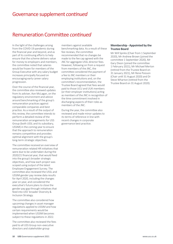### Remuneration Committee *continued*

In the light of the challenges arising from the COVID-19 pandemic during the financial year and beyond, and as part of its continuing efforts to help ensure that the scheme delivers value for money to employers and members, the committee noted that salaries would be frozen for members of the Group Executive with any salary budget increases principally focused on encouraging early career salary progression.

Over the course of the financial year, the committee also reviewed updates from its adviser, Aon McLagan, on the regulatory environment and advice around benchmarking of the group's remuneration practices against comparable companies and best practice. As a result of the output of this review, the committee intends to perform a detailed review of the remuneration arrangements for USS Group (both USSL and its subsidiary, USSIM) in the coming year to ensure that the approach to remuneration remains competitive and provides optimal alignment with the group's long-term strategic objectives.

The committee received an overview of remuneration related HR initiatives that were due to be undertaken during the 2020/21 financial year, that would feed into the group's broader strategic objectives, and how each project was scoped using output of the latest Employee Engagement Survey. The committee also reviewed the USSL and USSIM gender pay review data results for April 2020, including the changes year on year, and considered the executive's future plans to close the gender pay gap through initiatives that feed into USS' broader Diversity & Inclusion Strategy.

The committee also considered how upcoming changes in asset manager regulations applied to USSIM and how certain requirements would be implemented when USSIM becomes subject to these regulations in 2022.

The committee also reviewed the fees paid to all USS Group non-executive directors and stakeholder group

members against available benchmarking data. As a result of these fee reviews, the committee recommended that no changes be made to the fee cap agreed with the JNC for aggregate USSL director fees. However, following on from a request from members of the JNC, the committee considered the payment of a fee to JNC members or their employing institutions and, on the committee's recommendation, the Trustee Board agreed that fees would paid to those UCU and UUK members (or their employer institutions) acting as members of the JNC in recognition of the time commitment involved in discharging aspects of their roles as members of the JNC.

During the year, the committee also reviewed and made minor updates to its terms of reference in line with recent changes in corporate governance best practice.

#### **Membership - Appointed by the Trustee Board**

Mr Will Spinks (Chair from 1 September 2020), Mr Andrew Brown (joined the committee 1 September 2020), Mr Gary Dixon (joined the committee 1 February 2021), Mr Michael Merton (retired from the Trustee Board on 31 January 2021), Mr Rene Poisson (Chair until 31 August 2020) and Dr Steve Wharton (retired from the Trustee Board on 31 August 2020).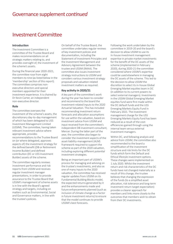### Investment Committee

#### **Introduction**

The Investment Committee is a committee of the Trustee Board and makes recommendations on all strategic matters relating to, and provides oversight of, the investment of the scheme's assets.

During the financial year 2020-2021, the committee rose from eight members to nine (as listed below in the 'membership' section of this report). The committee comprises nonexecutive directors and special members appointed for their investment experience. It is chaired by Dr Kevin Carter, an independent non-executive director.

#### **Role**

The committee oversees the investment of the scheme's assets, the discretionary day-to-day management of which has been delegated to USS Investment Management Limited (USSIM). The committee, having taken relevant investment advice where appropriate, provides recommendations to the Trustee Board on (or where delegated, approves aspects of) the investment strategy for the defined benefit (DB or Retirement Income Builder) and defined contribution (DC or USS Investment Builder) assets of the scheme.

The committee regularly reviews investment performance and risk reports from USSIM and receives regular investment manager presentations, in order to provide assurance to the Trustee Board that USSIM's management of scheme assets is in line with the Board's agreed strategy and targets, including on matters such as Environmental, Social and Governance matters, in line with the trustee's policies.

On behalf of the Trustee Board, the committee undertakes regular reviews of key investment policies and documentation, including the Statement of Investment Principles and the Investment Management and Advisory Agreement between the trustee and USSIM (IMAA). The committee also issues investment strategy instructions to USSIM and considers various investment strategy proposals and valuation related investment matters as required.

#### **Key activity in 2020/21**

A key part of the committee's work during the year has been to consider and recommend to the board the investment-related inputs to the 2020 Actuarial Valuation. This has included recommending investment return forecasts and allocation assumptions for use within the valuation, based on investment advice from USSIM and input received from the committee's independent DB investment consultant, Mercer. During the latter part of the year, the committee also began to consider the investment aspects of the asset-liability-management (ALM) framework required to support the scheme as part of the 2020 valuation, including exploring different potential investment strategies.

Being an important part of USSIM's process for managing and advising on the trustee's investments, and also as one of many inputs to the 2020 valuation, the committee has received regular updates from USSIM on its Fundamental Building Blocks model, the expected returns generated by it and the enhancements made and future enhancements planned (such as inclusion of climate change as a factor in future investment returns) to ensure that the model continues to provide USSIM's best forecasts.

Following the work undertaken by the committee in 2019-20 and the board's decision to allow USSIM to use its in-house investment management expertise in private market investments for the benefit of the DC assets of the scheme (implemented in February 2020), during 2020-21 the committee considered where USSIM's expertise could be used elsewhere in managing the DC assets of the scheme. This led to the decision to allow USSIM the discretion to select its in-house Global Emerging Market equities team in DC (in addition to its current powers to select external managers). Investments in the USSIM Global Emerging Market equities fund were first made within the DC default funds and the USS Emerging Markets Equity Fund in February 2021. The investment management charge for the USS Emerging Markets Equity fund has been reduced as a result of the costefficiencies gained through using the internal team versus external investment managers.

Within DC, and following analysis and advice from USSIM, the committee also recommended to the board a simplification of the investment structure and risk limits for the DC funds which form the Default and Ethical lifestyle investment options. These changes were implemented on 1 July 2020. Whilst the investment return and risk characteristics of the DC funds have not changed materially as a result of this change, the trustee believes that changing the expression of the funds (to a simplified asset allocation, risk tolerance and long-term investment return target expectation) provides a clearer approach for members and links more closely to the outcomes that members wish to obtain from their DC investments.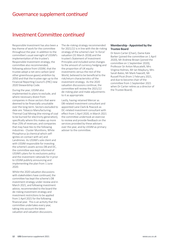### Investment Committee *continued*

Responsible Investment has also been a key theme of work for the committee throughout the year. In addition to the committee's usual oversight of USSIM's implementation of the trustee's Responsible Investment strategy, the committee also recommended, following advice from USSIM, that the trustee adopt a net zero carbon (and other greenhouse gases) ambition by 2050 and that the trustee sign up to the Financial Reporting Council's (FRC) new 2020 Stewardship Code.

During the year, USSIM also implemented its plans to exclude, and where necessary divest from companies in those sectors that were deemed to be financially unsuitable over the long-term. Sectors excluded to date are: Tobacco Manufacturing; Thermal Coal Mining (the mining of coal to be burned for electricity generation), specifically where this makes up more than 25% of revenues; and companies that may have ties to the following industries - Cluster Munitions, White Phosphorus (a chemical which selfignites on contact with air) and Landmines. As USSIM's sole client and with USSIM responsible for investing the scheme's assets across DB and DC, the committee was kept informed of USSIM's plans for its exclusions policy and the investment rationale for it prior to USSIM publicly announcing and implementing the plan from 1 June 2020.

Whilst the 2020 valuation discussions with stakeholders have continued, the committee has kept the scheme's DB investment strategy under review and in March 2021, and following investment advice, recommended to the board the de-risking investment strategy and investment restrictions to be applied from 1 April 2021 for the following financial year. This is an activity that the committee undertakes every year, taking into account the latest valuation and valuation discussions.

The de-risking strategy recommended for 2021/22 is in line with the de-risking strategy of the scheme's last 'in-force' valuation (31 March 2018) and the trustee's Statement of Investment Principles and included some changes to the amount of currency hedging and the proportion of UK equity investments versus the rest of the World, believed to be beneficial to the risk/return characteristics of the investment strategy. As the 2020 valuation discussions continue, the committee will review the 2021/22 de-risking plan and make adjustments to it as appropriate.

Lastly, having retained Mercer as DB-related investment consultant and appointed Lane Clark & Peacock as DC-related investment consultant with effect from 1 April 2020, in March 2021 the committee undertook an exercise to review and provide feedback on the services provided by these advisers over the year, and by USSIM as primary adviser to the committee.

#### **Membership - Appointed by the Trustee Board**

Dr Kevin Carter (Chair), Dame Kate Barker (joined the committee on 1 April 2020), Mr Andrew Brown (joined the committee on 1 September 2020), Professor Sir Anton Muscatelli, Mrs Virginia Holmes, Mr Ian Maybury, Mrs Sarah Bates, Mr Mark Fawcett, Mr Russell Picot (from 1 February 2021, and due to become chair of the committee from 1 September 2021 when Dr Carter retires as a director of the Trustee Board).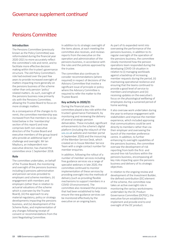## Pensions Committee

#### **Introduction**

The Pensions Committee (previously known as the Policy Committee) was reformulated during the financial year 2020-2021 to more accurately reflect the committee's role and remit, and to facilitate more effective decision making within the trustee's governance structure. The old Policy Committee's role had evolved over the past few years to provide increased oversight of matters impacting more generally on the pensions business of the scheme rather than only pension 'policy' related matters. As such, oversight of the pensions business now primarily sits with the Pensions Committee, allowing the Trustee Board to focus on more strategic matters.

As a consequence of the changes to its remit, the committee membership was increased from five members to six (as listed below in the 'membership' section of this report) and now comprises both non-executive directors of the Trustee Board and executive members of the group board who provide an additional layer of challenge and oversight. Mr Ian Maybury, an independent nonexecutive director, has chaired the committee since 1 September 2018.

#### **Role**

The committee undertakes, on behalf of the Trustee Board, the monitoring and oversight of the pensions business including (i) pensions administration and pension services provided to employers and scheme members, (ii) engagement with members and employers (other than in relation to actuarial valuations of the scheme which is overseen by the Trustee Board), (iii) the approach to any material regulatory, policy or strategy developments impacting the pensions business, and (iv) development of the Scheme Rules, and implementation of any changes following receipt of consent or recommendations from the Joint Negotiating Committee.

In addition to its strategic oversight of the items above, at each meeting the committee also receives, and reviews reports from the executive on the operation and administration of the pensions business, in accordance with the rules and the policies approved by the trustee.

The committee also continues to consider recommendations (where required) in respect of decisions of the Advisory Committee that involve a significant issue of principle or policy where the Advisory Committee is required to refer the matter to the Trustee Board.

#### **Key activity in 2020/21**

During the financial year, the committee played a key role within the trustee's governance framework, by monitoring and reviewing the delivery of several strategic pension deliverables. These included, significant enhancements to the scheme's digital platform (including the relaunch of the [uss.co.uk](http://www.uss.co.uk) website and member portal in September 2020) and the insourcing of the Member Service Desk, which created an in-house Member Service Team with a single contact number for member enquiries.

In addition, following the rollout of a number of member services including free guidance services via a range of specialist webinars in late 2020, the committee continued to monitor implementation of these services by providing oversight into the methods of delivery (such as providing flexible mechanisms to support members in a COVID-19 environment). The committee also reviewed the processes that had been established to help ensure the new guidance services can be monitored effectively by the executive on an ongoing basis.

As part of its expanded remit into overseeing the performance of the pensions business, in addition to its regular oversight of the operation of the pensions business, the committee closely monitored how the pension operations team responded during the developing COVID-19 situation in relation to (i) managing workloads against a backdrop of increasing member requests during the period, (ii) maintaining operational resilience and ensuring that the teams continued to provide a good level of service to members and employers and (iii) receiving updates on the executive's focus on the physiological wellbeing of employees during a sustained period of home working.

It also oversaw work undertaken during the year to enhance engagement with stakeholders and improve the member experience, which included approving that communications could be sent directly to members rather than via their employer and overseeing the launch of the member preference centre. In addition, to further enhancing its oversight capabilities of the pensions business, the committee oversaw the development of risk reporting from both the first- and second-line risk functions within the pensions business, encompassing all key risks impacting upon the pensions business and delivery of its strategic objectives.

In relation to the ongoing review and development of the Investment Builder, the defined contribution (DC) element of the scheme, the committee now takes an active oversight role in monitoring the various workstreams undertaken by the DC Product Governance Committee (DCPGC), the executive forum established to implement and provide end to end oversight of the DC product.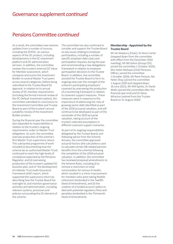### Pensions Committee *continued*

As a result, the committee now receives updates from a number of sources, including the DCPGC, on various aspects of the DC product, including developments in the DC investment platform and DC administration services. In addition, the committee reviews the trustee's external DC Value for Member assessment, which compares and scores the Investment Builder to several Master Trust peers across several categories, before being submitted to the Trustee Board for approval. In relation to its annual review of DC member requirements (including the formal triennial review of the DC Default investment option), the committee submitted its conclusions to the Investment Committee and Trustee Board as part of the trustee's annual suitability review of the Investment Builder product.

During the financial year the committee also expanded its responsibilities in relation to the trustee's ongoing requirements under its Master Trust obligations. As such, the committee oversaw production of the scheme's first Master Trust supervisory return. This substantial programme of work included (i) documenting how the scheme (as an authorised Master Trust) continued to reach the high levels of compliance expected by the Pensions Regulator, and (ii) overseeing production of the trustee's updated DC business plan, and of the development of a Master Trust Audit Assurance Framework (AAF) report, which supported the supervisory return by describing how the Trustee Board has oversight of, and monitors governance activities and administration, including relevant systems, processes and policies surrounding the DC element of the scheme.

The committee has also continued to consider and support the Trustee Board on key issues relating to employer participation, including a number of specific employer debt cases and participation requests during the year and recommending a new delegations framework in relation to employer participation decisions to the Trustee Board. In addition, the committee assisted the Trustee Board to form its ongoing view over the strength of the scheme's participating employers' covenant by overseeing the production of a monitoring framework in relation to covenant support measures. These measures were in response to the importance of addressing the risks of growing sector debt identified as part of the 2018 actuarial valuation, and will continue to be developed as part of the remainder of the 2020 actuarial valuation, taking account of the trustee's selected assumptions in different covenant support scenarios.

As part of its ongoing responsibilities delegated by the Trustee Board, and following advice from the Scheme Actuary, the committee approved actuarial factors (the calculations used to calculate certain DB-related pension benefits from the scheme) following the completion of the 2018 actuarial valuation. In addition, the committee has reviewed proposed amendments to the Scheme Rules, including (i) to remove a restriction on total commutation for serious ill-health, which resulted in a minor improvement for members who were taking flexible retirement (embodied in the Twelfth Deed of Amendment), and (ii) the creation of a funded account option to deal with potential regulatory fines and penalties (embodied in the Thirteenth Deed of Amendment).

#### **Membership - Appointed by the Trustee Board**

Mr Ian Maybury (Chair), Dr Kevin Carter (stepped down from the committee with effect from the December 2020 meeting), Mr Bill Galvin (Group CEO, joined the committee 1 October 2020), Mrs Helen McEwan (Chief Pensions Officer, joined the committee 1 October 2020), Mr Rene Poisson, Ms Helen Shay (joined the committee 1 August 2020 and stepped down 16 June 2021), Mr Will Spinks, Dr David Watts (joined the committee after the financial year end) and Dr Steve Wharton (retired from the Trustee Board on 31 August 2020).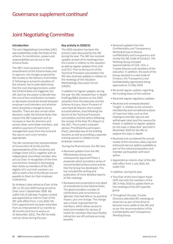## Joint Negotiating Committee

#### **Introduction**

The Joint Negotiating Committee (JNC) was established under the Rules of the scheme. Its constitution, powers and responsibilities are set out in the Scheme Rules.

The JNC's main purpose is to initiate amendments to the Scheme Rules and to approve rule changes proposed by the trustee or the Advisory Committee. If, following an actuarial valuation of the scheme, the trustee determines that the cost sharing provisions under the Scheme Rules are triggered, the JNC also has the power to decide how the cost of the contribution increases or decreases should be shared between employers and members and whether there should be a change to future benefits. There are also certain other decisions under the Scheme Rules that require the JNC's approval such as increases in fees for directors and certain other committee members, and whether payment of investment management costs from the fund and the cap on such costs remains appropriate.

The JNC comprises five representatives of Universities UK (UUK) and five representatives of the University and College Union (UCU), together with an independent committee member who acts as Chair. In recognition of the time commitment involved in discharging their duties as members of the JNC, eligible UCU and UUK members are able to claim a fee of £4,536 per annum payable to them (or their employer institutions).

Sir Andrew Cubie retired as Chair of the JNC on 30 June 2020 having served as Chair since 1 September 2008. Ms Judith Fish of Dalriada Trustees Limited was appointed as interim Chair of the JNC with effect from 1 July 2020. Ms Fish's appointment has been extended from an initial period of 12 months to 18 months (and due to expire on 31 December 2021). The JNC formally met ten times during the year.

### **Key activity in 2020/21**

The 2020 valuation has been the primary topic discussed by the JNC during the year. The JNC has received updates at each of its meetings from the trustee in relation to the valuation as well as regular updates from UUK and UCU. Prior to the launch of the Technical Provisions consultation the JNC also received updates in relation to the meetings of the Valuation Methodology Discussion Forum (VMDF).

In addition to regular updates, during the year the JNC received four in-depth briefings/Q&A sessions on the 2020 valuation from the executive and the Scheme Actuary, Aaron Punwani of Lane Clark & Peacock, the trustee's actuarial adviser, (two following the launch of the Technical Provisions consultation and the others following the receipt of the Rule 76.1 Report to the JNC). The trustee's covenant adviser, PriceWaterhouseCoopers (PwC), attended two of the briefing sessions as well as providing a separate training session in relation to the employer covenant.

During the financial year, the JNC also:

- Received updates from the JNC Effectiveness Group and subsequently approved Phase 1 proposals which provided a series of recommended actions and practices that the Group has developed. This has included the writing and publication of more detailed reports of JNC meetings
- Reviewed and consented to one deed of amendment to the Scheme Rules. The deed included a number of clarifications and corrections to 'glitches' that had little or no practical impact, plus one change. The change was a minor improvement for members, which allows access to total commutation for serious-ill health for members that have flexibly retired but are still actively accruing benefits
- Received updates from the Confidentiality and Transparency Working Group to discuss confidentiality and transparency and review the JNC Code of Conduct. The Working Group included representatives of UUK, UCU, a Trustee Director and members of the executive. In addition, the work of the Group resulted in a new Code of Conduct, the Transparency and Confidentiality Agreement being approved on 12 May 2020
- Received regular updates regarding the funding status of the scheme
- Received regular regulatory updates
- Received and reviewed detailed 'insight' in relation to the scheme's membership and considered analysis of important data, such as that relating to member opt out and withdrawal rates (and the reasons for those). In addition to regular updates on this topic a 'deep dive' was held in December 2020 for the JNC to explore this topic in depth
- Received and considered the annual review of the voluntary salary cap and enhanced opt out options available as part of the scheme proposition and member participation with each option
- Appointed an interim chair of the JNC with effect from 1 July 2020, Ms Judith Fish

In addition, during the year:

- The Chair of the Joint Expert Panel (JEP) met with the members of the JNC in May 2020 to update them on the meetings of the JEP tripartite group
- Throughout the year, Trustee Directors attended JNC meetings as observers as part of the drive to become more visible to the JNC and as per the recommendation of the Confidentiality and Transparency Working Group.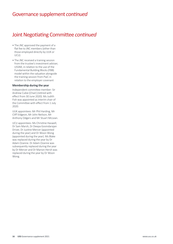### Joint Negotiating Committee *continued*

- The JNC approved the payment of a flat fee to JNC members (other than those employed directly by UUK or UCU)
- The JNC received a training session from the trustee's investment adviser, USSIM, in relation to the use of the Fundamental Building Blocks (FBB) model within the valuation alongside the training session from PwC in relation to the employer covenant

#### **Membership during the year**

Independent committee member: Sir Andrew Cubie (Chair) (retired with effect from 30 June 2020). Ms Judith Fish was appointed as interim chair of the Committee with effect from 1 July 2020.

UUK appointees: Mr Phil Harding, Mr Cliff Vidgeon, Mr John Neilson, Mr Anthony Odgers and Mr Stuart McLean.

UCU appointees: Ms Christine Haswell, Dr Sam Marsh, Dr Deepa Govindarajan Driver, Dr Justine Mercer (appointed during the year) and Dr Woon Wong (appointed during the year). Ms Blake was replaced during the year by Dr Adam Ozanne. Dr Adam Ozanne was subsequently replaced during the year by Dr Mercer and Dr Marion Hersh was replaced during the year by Dr Woon Wong.